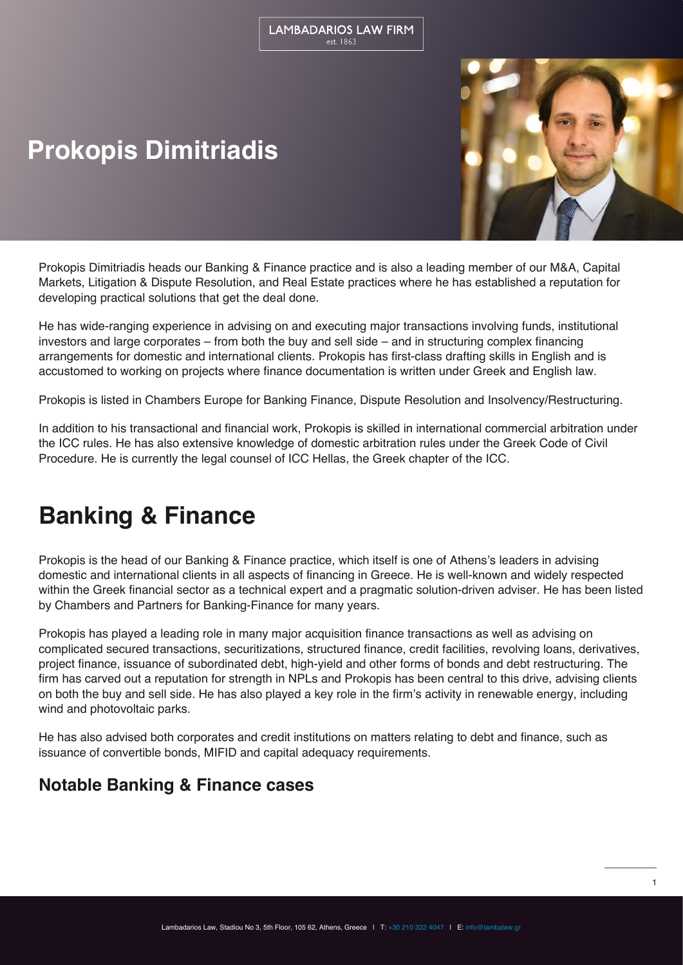# **Prokopis Dimitriadis**



Prokopis Dimitriadis heads our Banking & Finance practice and is also a leading member of our M&A, Capital Markets, Litigation & Dispute Resolution, and Real Estate practices where he has established a reputation for developing practical solutions that get the deal done.

He has wide-ranging experience in advising on and executing major transactions involving funds, institutional investors and large corporates – from both the buy and sell side – and in structuring complex financing arrangements for domestic and international clients. Prokopis has first-class drafting skills in English and is accustomed to working on projects where finance documentation is written under Greek and English law.

Prokopis is listed in Chambers Europe for Banking Finance, Dispute Resolution and Insolvency/Restructuring.

In addition to his transactional and financial work, Prokopis is skilled in international commercial arbitration under the ICC rules. He has also extensive knowledge of domestic arbitration rules under the Greek Code of Civil Procedure. He is currently the legal counsel of ICC Hellas, the Greek chapter of the ICC.

## **Banking & Finance**

Prokopis is the head of our Banking & Finance practice, which itself is one of Athens's leaders in advising domestic and international clients in all aspects of financing in Greece. He is well-known and widely respected within the Greek financial sector as a technical expert and a pragmatic solution-driven adviser. He has been listed by Chambers and Partners for Banking-Finance for many years.

Prokopis has played a leading role in many major acquisition finance transactions as well as advising on complicated secured transactions, securitizations, structured finance, credit facilities, revolving loans, derivatives, project finance, issuance of subordinated debt, high-yield and other forms of bonds and debt restructuring. The firm has carved out a reputation for strength in NPLs and Prokopis has been central to this drive, advising clients on both the buy and sell side. He has also played a key role in the firm's activity in renewable energy, including wind and photovoltaic parks.

He has also advised both corporates and credit institutions on matters relating to debt and finance, such as issuance of convertible bonds, MIFID and capital adequacy requirements.

### **Notable Banking & Finance cases**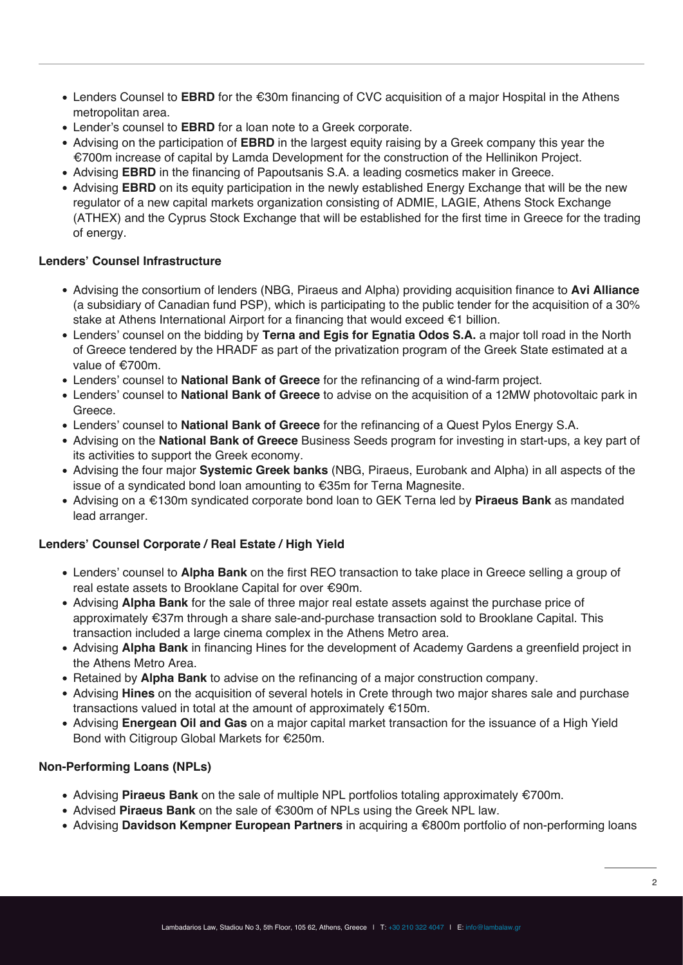- Lenders Counsel to **EBRD** for the €30m financing of CVC acquisition of a major Hospital in the Athens metropolitan area.
- Lender's counsel to **EBRD** for a loan note to a Greek corporate.
- Advising on the participation of **EBRD** in the largest equity raising by a Greek company this year the €700m increase of capital by Lamda Development for the construction of the Hellinikon Project.
- Advising **EBRD** in the financing of Papoutsanis S.A. a leading cosmetics maker in Greece.
- Advising **EBRD** on its equity participation in the newly established Energy Exchange that will be the new regulator of a new capital markets organization consisting of ADMIE, LAGIE, Athens Stock Exchange (ATHEX) and the Cyprus Stock Exchange that will be established for the first time in Greece for the trading of energy.

#### **Lenders' Counsel Infrastructure**

- Advising the consortium of lenders (NBG, Piraeus and Alpha) providing acquisition finance to **Avi Alliance** (a subsidiary of Canadian fund PSP), which is participating to the public tender for the acquisition of a 30% stake at Athens International Airport for a financing that would exceed €1 billion.
- Lenders' counsel on the bidding by **Terna and Egis for Egnatia Odos S.A.** a major toll road in the North of Greece tendered by the HRADF as part of the privatization program of the Greek State estimated at a value of €700m.
- Lenders' counsel to **National Bank of Greece** for the refinancing of a wind-farm project.
- Lenders' counsel to **National Bank of Greece** to advise on the acquisition of a 12MW photovoltaic park in Greece.
- Lenders' counsel to **National Bank of Greece** for the refinancing of a Quest Pylos Energy S.A.
- Advising on the **National Bank of Greece** Business Seeds program for investing in start-ups, a key part of its activities to support the Greek economy.
- Advising the four major **Systemic Greek banks** (NBG, Piraeus, Eurobank and Alpha) in all aspects of the issue of a syndicated bond loan amounting to €35m for Terna Magnesite.
- Advising on a €130m syndicated corporate bond loan to GEK Terna led by **Piraeus Bank** as mandated lead arranger.

#### **Lenders' Counsel Corporate / Real Estate / High Yield**

- Lenders' counsel to **Alpha Bank** on the first REO transaction to take place in Greece selling a group of real estate assets to Brooklane Capital for over €90m.
- Advising **Alpha Bank** for the sale of three major real estate assets against the purchase price of approximately €37m through a share sale-and-purchase transaction sold to Brooklane Capital. This transaction included a large cinema complex in the Athens Metro area.
- Advising **Alpha Bank** in financing Hines for the development of Academy Gardens a greenfield project in the Athens Metro Area.
- Retained by **Alpha Bank** to advise on the refinancing of a major construction company.
- Advising **Hines** on the acquisition of several hotels in Crete through two major shares sale and purchase transactions valued in total at the amount of approximately €150m.
- Advising **Energean Oil and Gas** on a major capital market transaction for the issuance of a High Yield Bond with Citigroup Global Markets for €250m.

#### **Non-Performing Loans (NPLs)**

- Advising **Piraeus Bank** on the sale of multiple NPL portfolios totaling approximately €700m.
- Advised **Piraeus Bank** on the sale of €300m of NPLs using the Greek NPL law.
- Advising **Davidson Kempner European Partners** in acquiring a €800m portfolio of non-performing loans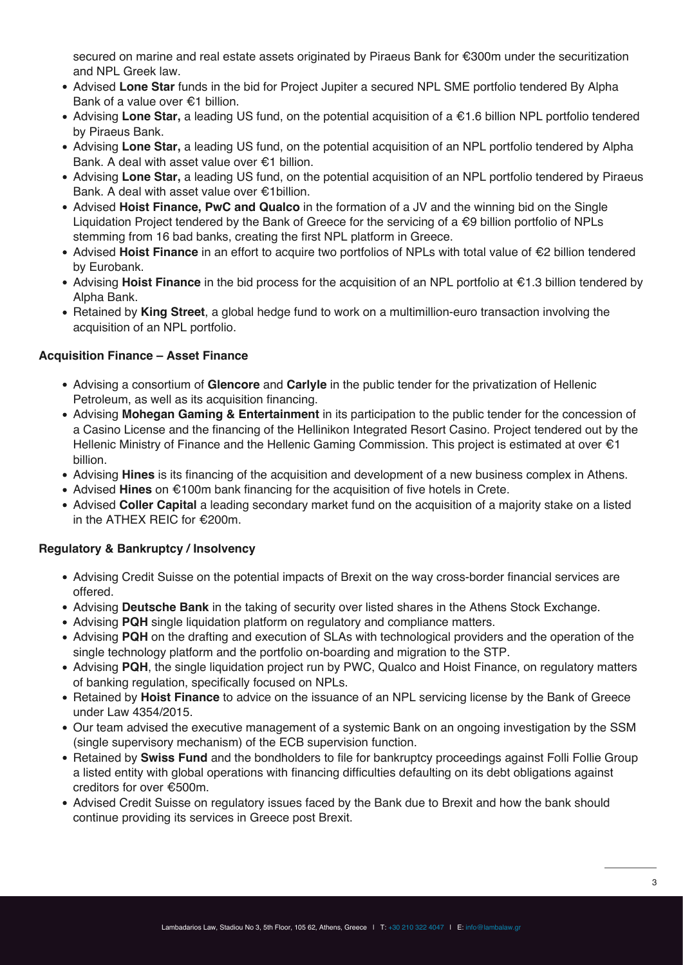secured on marine and real estate assets originated by Piraeus Bank for €300m under the securitization and NPL Greek law.

- Advised **Lone Star** funds in the bid for Project Jupiter a secured NPL SME portfolio tendered By Alpha Bank of a value over €1 billion.
- Advising **Lone Star,** a leading US fund, on the potential acquisition of a €1.6 billion NPL portfolio tendered by Piraeus Bank.
- Advising **Lone Star,** a leading US fund, on the potential acquisition of an NPL portfolio tendered by Alpha Bank. A deal with asset value over €1 billion.
- Advising **Lone Star,** a leading US fund, on the potential acquisition of an NPL portfolio tendered by Piraeus Bank. A deal with asset value over €1billion.
- Advised **Hoist Finance, PwC and Qualco** in the formation of a JV and the winning bid on the Single Liquidation Project tendered by the Bank of Greece for the servicing of a €9 billion portfolio of NPLs stemming from 16 bad banks, creating the first NPL platform in Greece.
- Advised **Hoist Finance** in an effort to acquire two portfolios of NPLs with total value of €2 billion tendered by Eurobank.
- Advising **Hoist Finance** in the bid process for the acquisition of an NPL portfolio at €1.3 billion tendered by Alpha Bank.
- Retained by **King Street**, a global hedge fund to work on a multimillion-euro transaction involving the acquisition of an NPL portfolio.

### **Acquisition Finance – Asset Finance**

- Advising a consortium of **Glencore** and **Carlyle** in the public tender for the privatization of Hellenic Petroleum, as well as its acquisition financing.
- Advising **Mohegan Gaming & Entertainment** in its participation to the public tender for the concession of a Casino License and the financing of the Hellinikon Integrated Resort Casino. Project tendered out by the Hellenic Ministry of Finance and the Hellenic Gaming Commission. This project is estimated at over €1 billion.
- Advising **Hines** is its financing of the acquisition and development of a new business complex in Athens.
- Advised **Hines** on €100m bank financing for the acquisition of five hotels in Crete.
- Advised **Coller Capital** a leading secondary market fund on the acquisition of a majority stake on a listed in the ATHEX REIC for €200m.

### **Regulatory & Bankruptcy / Insolvency**

- Advising Credit Suisse on the potential impacts of Brexit on the way cross-border financial services are offered.
- Advising **Deutsche Bank** in the taking of security over listed shares in the Athens Stock Exchange.
- Advising **PQH** single liquidation platform on regulatory and compliance matters.
- Advising **PQH** on the drafting and execution of SLAs with technological providers and the operation of the single technology platform and the portfolio on-boarding and migration to the STP.
- Advising **PQH**, the single liquidation project run by PWC, Qualco and Hoist Finance, on regulatory matters of banking regulation, specifically focused on NPLs.
- Retained by **Hoist Finance** to advice on the issuance of an NPL servicing license by the Bank of Greece under Law 4354/2015.
- Our team advised the executive management of a systemic Bank on an ongoing investigation by the SSM (single supervisory mechanism) of the ECB supervision function.
- Retained by **Swiss Fund** and the bondholders to file for bankruptcy proceedings against Folli Follie Group a listed entity with global operations with financing difficulties defaulting on its debt obligations against creditors for over €500m.
- Advised Credit Suisse on regulatory issues faced by the Bank due to Brexit and how the bank should continue providing its services in Greece post Brexit.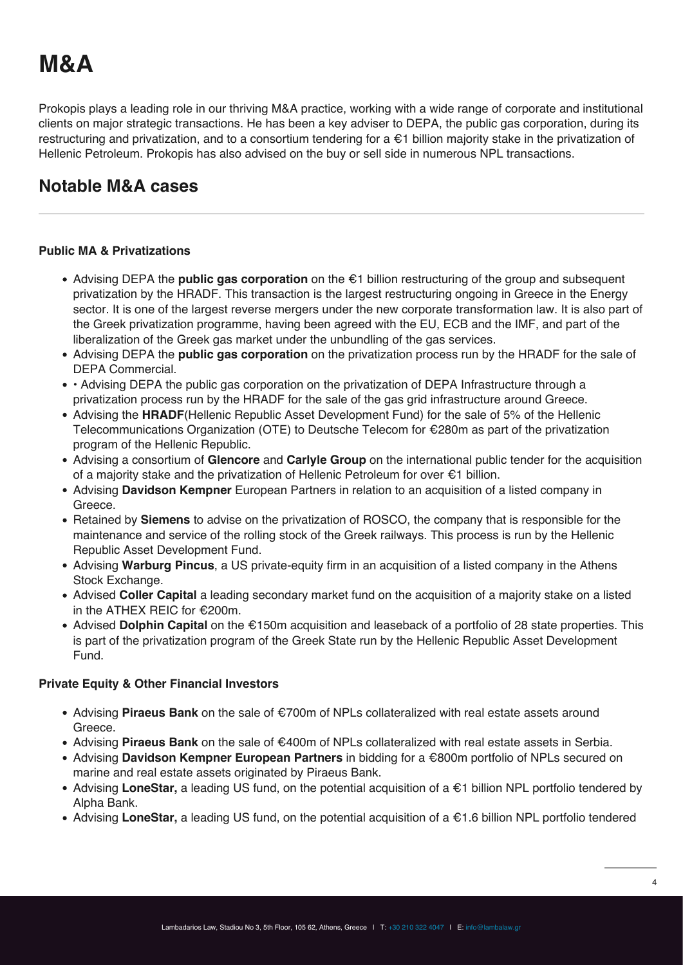# **M&A**

Prokopis plays a leading role in our thriving M&A practice, working with a wide range of corporate and institutional clients on major strategic transactions. He has been a key adviser to DEPA, the public gas corporation, during its restructuring and privatization, and to a consortium tendering for a €1 billion majority stake in the privatization of Hellenic Petroleum. Prokopis has also advised on the buy or sell side in numerous NPL transactions.

### **Notable M&A cases**

### **Public MA & Privatizations**

- Advising DEPA the **public gas corporation** on the €1 billion restructuring of the group and subsequent privatization by the HRADF. This transaction is the largest restructuring ongoing in Greece in the Energy sector. It is one of the largest reverse mergers under the new corporate transformation law. It is also part of the Greek privatization programme, having been agreed with the EU, ECB and the IMF, and part of the liberalization of the Greek gas market under the unbundling of the gas services.
- Advising DEPA the **public gas corporation** on the privatization process run by the HRADF for the sale of DEPA Commercial.
- Advising DEPA the public gas corporation on the privatization of DEPA Infrastructure through a privatization process run by the HRADF for the sale of the gas grid infrastructure around Greece.
- Advising the **HRADF**(Hellenic Republic Asset Development Fund) for the sale of 5% of the Hellenic Telecommunications Organization (ΟΤΕ) to Deutsche Telecom for €280m as part of the privatization program of the Hellenic Republic.
- Advising a consortium of **Glencore** and **Carlyle Group** on the international public tender for the acquisition of a majority stake and the privatization of Hellenic Petroleum for over €1 billion.
- Advising **Davidson Kempner** European Partners in relation to an acquisition of a listed company in Greece.
- Retained by **Siemens** to advise on the privatization of ROSCO, the company that is responsible for the maintenance and service of the rolling stock of the Greek railways. This process is run by the Hellenic Republic Asset Development Fund.
- Advising **Warburg Pincus**, a US private-equity firm in an acquisition of a listed company in the Athens Stock Exchange.
- Advised **Coller Capital** a leading secondary market fund on the acquisition of a majority stake on a listed in the ATHEX REIC for €200m.
- Advised **Dolphin Capital** on the €150m acquisition and leaseback of a portfolio of 28 state properties. This is part of the privatization program of the Greek State run by the Hellenic Republic Asset Development Fund.

### **Private Equity & Other Financial Investors**

- Advising **Piraeus Bank** on the sale of €700m of NPLs collateralized with real estate assets around Greece.
- Advising **Piraeus Bank** on the sale of €400m of NPLs collateralized with real estate assets in Serbia.
- Advising **Davidson Kempner European Partners** in bidding for a €800m portfolio of NPLs secured on marine and real estate assets originated by Piraeus Bank.
- Advising **LoneStar,** a leading US fund, on the potential acquisition of a €1 billion NPL portfolio tendered by Alpha Bank.
- Advising **LoneStar,** a leading US fund, on the potential acquisition of a €1.6 billion NPL portfolio tendered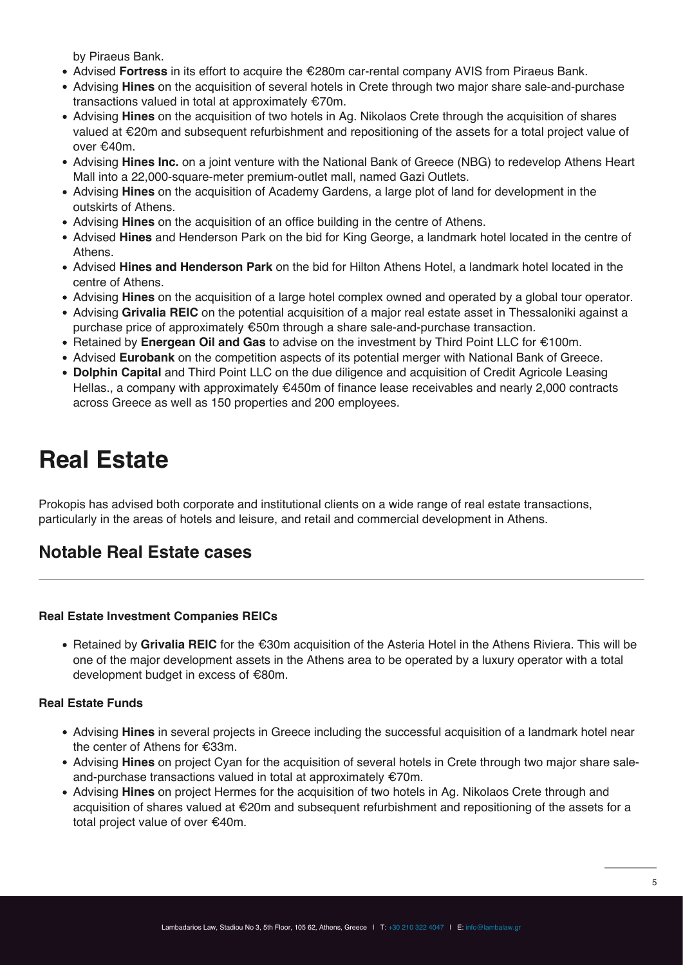by Piraeus Bank.

- Advised **Fortress** in its effort to acquire the €280m car-rental company AVIS from Piraeus Bank.
- Advising **Hines** on the acquisition of several hotels in Crete through two major share sale-and-purchase transactions valued in total at approximately €70m.
- Advising **Hines** on the acquisition of two hotels in Ag. Nikolaos Crete through the acquisition of shares valued at €20m and subsequent refurbishment and repositioning of the assets for a total project value of over €40m.
- Advising **Hines Inc.** on a joint venture with the National Bank of Greece (NBG) to redevelop Athens Heart Mall into a 22,000-square-meter premium-outlet mall, named Gazi Outlets.
- Advising **Hines** on the acquisition of Academy Gardens, a large plot of land for development in the outskirts of Athens.
- Advising **Hines** on the acquisition of an office building in the centre of Athens.
- Advised **Hines** and Henderson Park on the bid for King George, a landmark hotel located in the centre of Athens.
- Advised **Hines and Henderson Park** on the bid for Hilton Athens Hotel, a landmark hotel located in the centre of Athens.
- Advising **Hines** on the acquisition of a large hotel complex owned and operated by a global tour operator.
- Advising **Grivalia REIC** on the potential acquisition of a major real estate asset in Thessaloniki against a purchase price of approximately €50m through a share sale-and-purchase transaction.
- Retained by **Energean Oil and Gas** to advise on the investment by Third Point LLC for €100m.
- Advised **Eurobank** on the competition aspects of its potential merger with National Bank of Greece.
- **Dolphin Capital** and Third Point LLC on the due diligence and acquisition of Credit Agricole Leasing Hellas., a company with approximately €450m of finance lease receivables and nearly 2,000 contracts across Greece as well as 150 properties and 200 employees.

## **Real Estate**

Prokopis has advised both corporate and institutional clients on a wide range of real estate transactions, particularly in the areas of hotels and leisure, and retail and commercial development in Athens.

### **Notable Real Estate cases**

#### **Real Estate Investment Companies REICs**

Retained by **Grivalia REIC** for the €30m acquisition of the Asteria Hotel in the Athens Riviera. This will be one of the major development assets in the Athens area to be operated by a luxury operator with a total development budget in excess of €80m.

#### **Real Estate Funds**

- Advising **Hines** in several projects in Greece including the successful acquisition of a landmark hotel near the center of Athens for €33m.
- Advising **Hines** on project Cyan for the acquisition of several hotels in Crete through two major share saleand-purchase transactions valued in total at approximately €70m.
- Advising **Hines** on project Hermes for the acquisition of two hotels in Ag. Nikolaos Crete through and acquisition of shares valued at €20m and subsequent refurbishment and repositioning of the assets for a total project value of over €40m.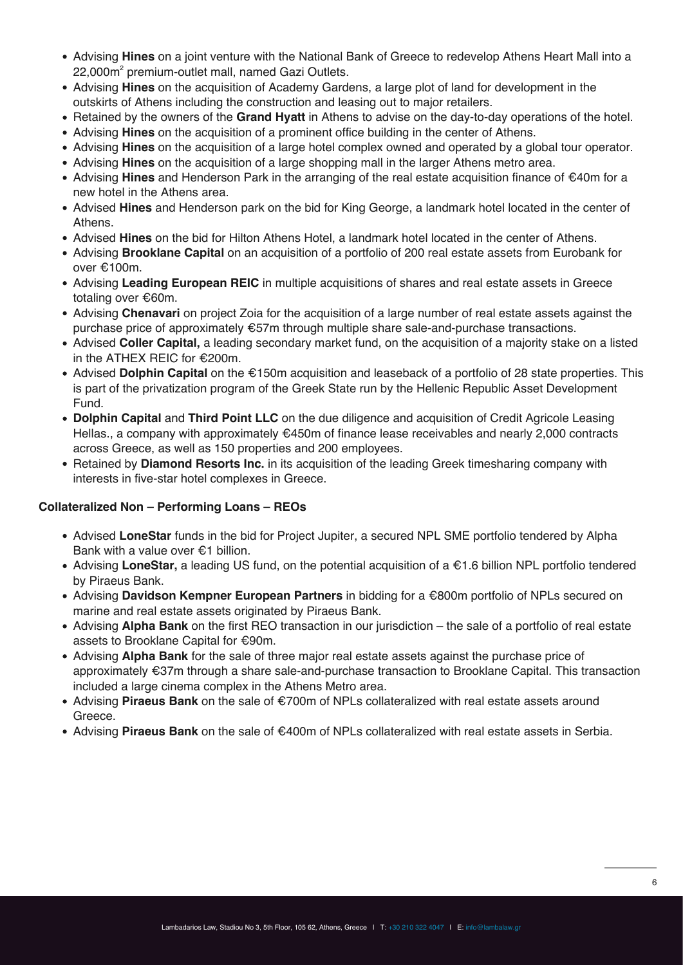- Advising **Hines** on a joint venture with the National Bank of Greece to redevelop Athens Heart Mall into a 22,000m<sup>2</sup> premium-outlet mall, named Gazi Outlets.
- Advising **Hines** on the acquisition of Academy Gardens, a large plot of land for development in the outskirts of Athens including the construction and leasing out to major retailers.
- Retained by the owners of the **Grand Hyatt** in Athens to advise on the day-to-day operations of the hotel.
- Advising **Hines** on the acquisition of a prominent office building in the center of Athens.
- Advising **Hines** on the acquisition of a large hotel complex owned and operated by a global tour operator.
- Advising **Hines** on the acquisition of a large shopping mall in the larger Athens metro area.
- Advising **Hines** and Henderson Park in the arranging of the real estate acquisition finance of €40m for a new hotel in the Athens area.
- Advised **Hines** and Henderson park on the bid for King George, a landmark hotel located in the center of Athens.
- Advised **Hines** on the bid for Hilton Athens Hotel, a landmark hotel located in the center of Athens.
- Advising **Brooklane Capital** on an acquisition of a portfolio of 200 real estate assets from Eurobank for over €100m.
- Advising **Leading European REIC** in multiple acquisitions of shares and real estate assets in Greece totaling over €60m.
- Advising **Chenavari** on project Zoia for the acquisition of a large number of real estate assets against the purchase price of approximately €57m through multiple share sale-and-purchase transactions.
- Advised **Coller Capital,** a leading secondary market fund, on the acquisition of a majority stake on a listed in the ATHEX REIC for €200m.
- Advised **Dolphin Capital** on the €150m acquisition and leaseback of a portfolio of 28 state properties. This is part of the privatization program of the Greek State run by the Hellenic Republic Asset Development Fund.
- **Dolphin Capital** and **Third Point LLC** on the due diligence and acquisition of Credit Agricole Leasing Hellas., a company with approximately €450m of finance lease receivables and nearly 2,000 contracts across Greece, as well as 150 properties and 200 employees.
- **Retained by Diamond Resorts Inc.** in its acquisition of the leading Greek timesharing company with interests in five-star hotel complexes in Greece.

### **Collateralized Non – Performing Loans – REOs**

- Advised **LoneStar** funds in the bid for Project Jupiter, a secured NPL SME portfolio tendered by Alpha Bank with a value over €1 billion.
- Advising **LoneStar,** a leading US fund, on the potential acquisition of a €1.6 billion NPL portfolio tendered by Piraeus Bank.
- Advising **Davidson Kempner European Partners** in bidding for a €800m portfolio of NPLs secured on marine and real estate assets originated by Piraeus Bank.
- Advising **Alpha Bank** on the first REO transaction in our jurisdiction the sale of a portfolio of real estate assets to Brooklane Capital for €90m.
- Advising **Alpha Bank** for the sale of three major real estate assets against the purchase price of approximately €37m through a share sale-and-purchase transaction to Brooklane Capital. This transaction included a large cinema complex in the Athens Metro area.
- Advising **Piraeus Bank** on the sale of €700m of NPLs collateralized with real estate assets around Greece.
- Advising **Piraeus Bank** on the sale of €400m of NPLs collateralized with real estate assets in Serbia.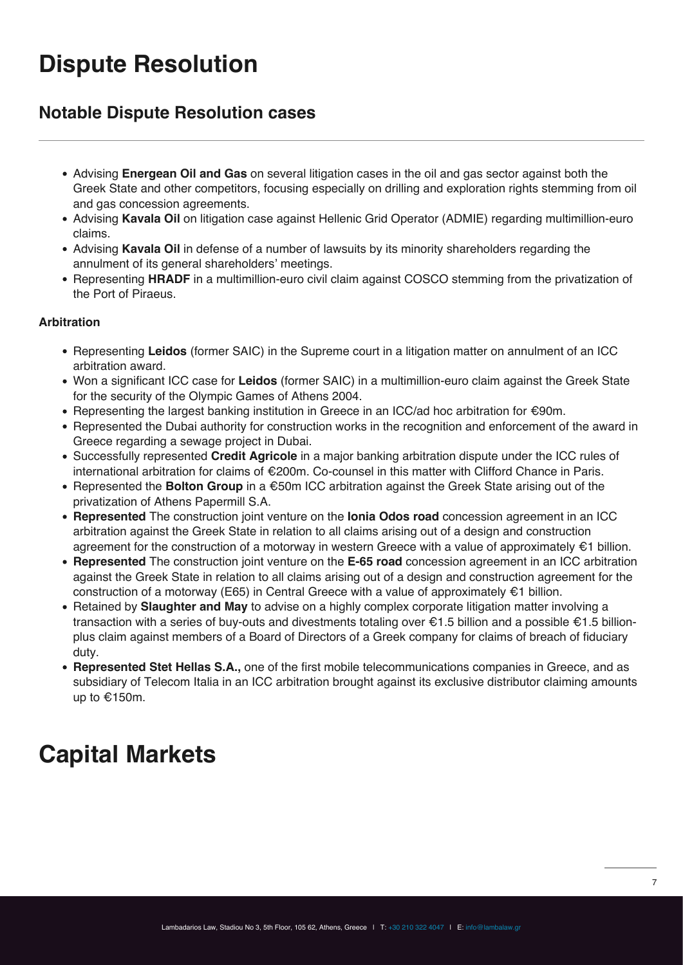## **Dispute Resolution**

### **Notable Dispute Resolution cases**

- Advising **Energean Oil and Gas** on several litigation cases in the oil and gas sector against both the Greek State and other competitors, focusing especially on drilling and exploration rights stemming from oil and gas concession agreements.
- Advising **Kavala Oil** on litigation case against Hellenic Grid Operator (ADMIE) regarding multimillion-euro claims.
- Advising **Kavala Oil** in defense of a number of lawsuits by its minority shareholders regarding the annulment of its general shareholders' meetings.
- Representing **HRADF** in a multimillion-euro civil claim against COSCO stemming from the privatization of the Port of Piraeus.

### **Arbitration**

- Representing **Leidos** (former SAIC) in the Supreme court in a litigation matter on annulment of an ICC arbitration award.
- Won a significant ICC case for **Leidos** (former SAIC) in a multimillion-euro claim against the Greek State for the security of the Olympic Games of Athens 2004.
- Representing the largest banking institution in Greece in an ICC/ad hoc arbitration for €90m.
- Represented the Dubai authority for construction works in the recognition and enforcement of the award in Greece regarding a sewage project in Dubai.
- Successfully represented **Credit Agricole** in a major banking arbitration dispute under the ICC rules of international arbitration for claims of €200m. Co-counsel in this matter with Clifford Chance in Paris.
- Represented the **Bolton Group** in a €50m ICC arbitration against the Greek State arising out of the privatization of Athens Papermill S.A.
- **Represented** The construction joint venture on the **Ionia Odos road** concession agreement in an ICC arbitration against the Greek State in relation to all claims arising out of a design and construction agreement for the construction of a motorway in western Greece with a value of approximately  $\epsilon$ 1 billion.
- **Represented** The construction joint venture on the **E-65 road** concession agreement in an ICC arbitration against the Greek State in relation to all claims arising out of a design and construction agreement for the construction of a motorway (E65) in Central Greece with a value of approximately €1 billion.
- Retained by **Slaughter and May** to advise on a highly complex corporate litigation matter involving a transaction with a series of buy-outs and divestments totaling over €1.5 billion and a possible €1.5 billionplus claim against members of a Board of Directors of a Greek company for claims of breach of fiduciary duty.
- **Represented Stet Hellas S.A.,** one of the first mobile telecommunications companies in Greece, and as subsidiary of Telecom Italia in an ICC arbitration brought against its exclusive distributor claiming amounts up to €150m.

## **Capital Markets**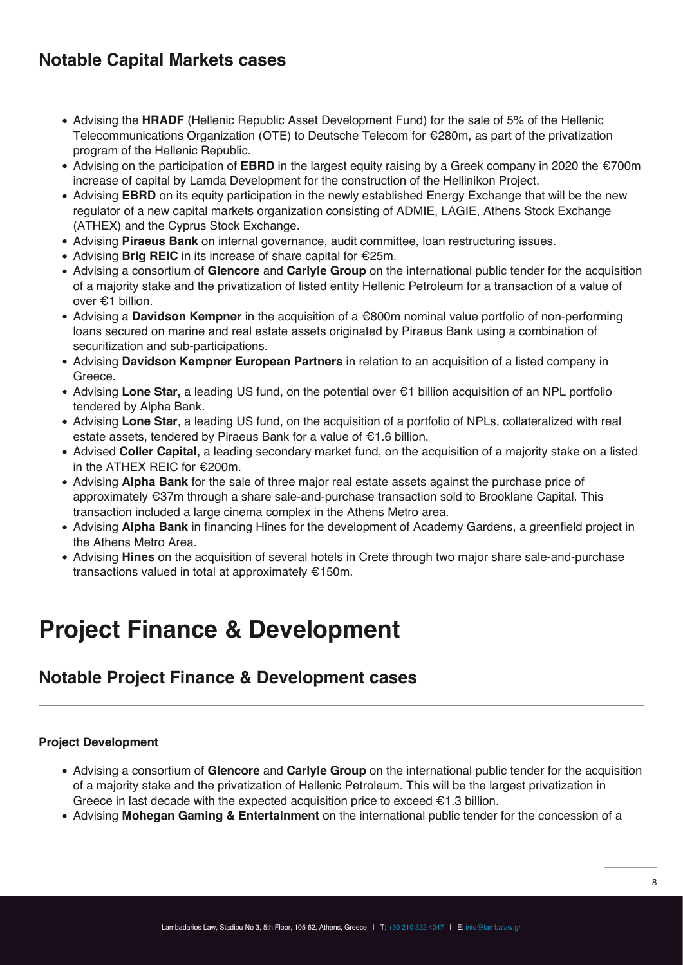- Advising the **HRADF** (Hellenic Republic Asset Development Fund) for the sale of 5% of the Hellenic Telecommunications Organization (ΟΤΕ) to Deutsche Telecom for €280m, as part of the privatization program of the Hellenic Republic.
- Advising on the participation of **EBRD** in the largest equity raising by a Greek company in 2020 the €700m increase of capital by Lamda Development for the construction of the Hellinikon Project.
- Advising **EBRD** on its equity participation in the newly established Energy Exchange that will be the new regulator of a new capital markets organization consisting of ADMIE, LAGIE, Athens Stock Exchange (ATHEX) and the Cyprus Stock Exchange.
- Advising **Piraeus Bank** on internal governance, audit committee, loan restructuring issues.
- Advising **Brig REIC** in its increase of share capital for €25m.
- Advising a consortium of **Glencore** and **Carlyle Group** on the international public tender for the acquisition of a majority stake and the privatization of listed entity Hellenic Petroleum for a transaction of a value of over €1 billion.
- Advising a **Davidson Kempner** in the acquisition of a €800m nominal value portfolio of non-performing loans secured on marine and real estate assets originated by Piraeus Bank using a combination of securitization and sub-participations.
- Advising **Davidson Kempner European Partners** in relation to an acquisition of a listed company in Greece.
- Advising **Lone Star,** a leading US fund, on the potential over €1 billion acquisition of an NPL portfolio tendered by Alpha Bank.
- Advising **Lone Star**, a leading US fund, on the acquisition of a portfolio of NPLs, collateralized with real estate assets, tendered by Piraeus Bank for a value of €1.6 billion.
- Advised **Coller Capital,** a leading secondary market fund, on the acquisition of a majority stake on a listed in the ATHEX REIC for €200m.
- Advising **Alpha Bank** for the sale of three major real estate assets against the purchase price of approximately €37m through a share sale-and-purchase transaction sold to Brooklane Capital. This transaction included a large cinema complex in the Athens Metro area.
- Advising **Alpha Bank** in financing Hines for the development of Academy Gardens, a greenfield project in the Athens Metro Area.
- Advising **Hines** on the acquisition of several hotels in Crete through two major share sale-and-purchase transactions valued in total at approximately €150m.

## **Project Finance & Development**

### **Notable Project Finance & Development cases**

### **Project Development**

- Advising a consortium of **Glencore** and **Carlyle Group** on the international public tender for the acquisition of a majority stake and the privatization of Hellenic Petroleum. This will be the largest privatization in Greece in last decade with the expected acquisition price to exceed  $\epsilon$ 1.3 billion.
- Advising **Mohegan Gaming & Entertainment** on the international public tender for the concession of a